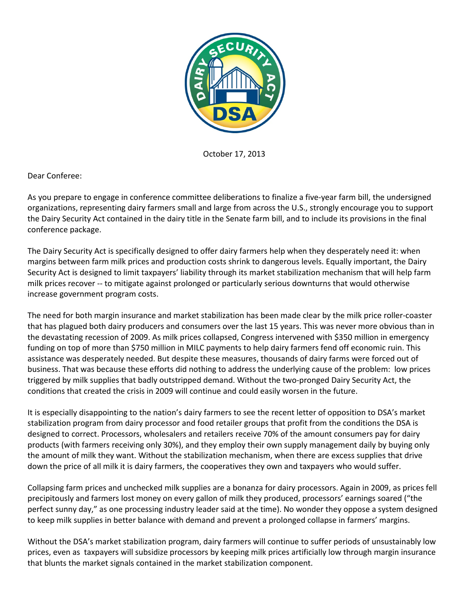

October 17, 2013

Dear Conferee:

As you prepare to engage in conference committee deliberations to finalize a five-year farm bill, the undersigned organizations, representing dairy farmers small and large from across the U.S., strongly encourage you to support the Dairy Security Act contained in the dairy title in the Senate farm bill, and to include its provisions in the final conference package.

The Dairy Security Act is specifically designed to offer dairy farmers help when they desperately need it: when margins between farm milk prices and production costs shrink to dangerous levels. Equally important, the Dairy Security Act is designed to limit taxpayers' liability through its market stabilization mechanism that will help farm milk prices recover -- to mitigate against prolonged or particularly serious downturns that would otherwise increase government program costs.

The need for both margin insurance and market stabilization has been made clear by the milk price roller-coaster that has plagued both dairy producers and consumers over the last 15 years. This was never more obvious than in the devastating recession of 2009. As milk prices collapsed, Congress intervened with \$350 million in emergency funding on top of more than \$750 million in MILC payments to help dairy farmers fend off economic ruin. This assistance was desperately needed. But despite these measures, thousands of dairy farms were forced out of business. That was because these efforts did nothing to address the underlying cause of the problem: low prices triggered by milk supplies that badly outstripped demand. Without the two-pronged Dairy Security Act, the conditions that created the crisis in 2009 will continue and could easily worsen in the future.

It is especially disappointing to the nation's dairy farmers to see the recent letter of opposition to DSA's market stabilization program from dairy processor and food retailer groups that profit from the conditions the DSA is designed to correct. Processors, wholesalers and retailers receive 70% of the amount consumers pay for dairy products (with farmers receiving only 30%), and they employ their own supply management daily by buying only the amount of milk they want. Without the stabilization mechanism, when there are excess supplies that drive down the price of all milk it is dairy farmers, the cooperatives they own and taxpayers who would suffer.

Collapsing farm prices and unchecked milk supplies are a bonanza for dairy processors. Again in 2009, as prices fell precipitously and farmers lost money on every gallon of milk they produced, processors' earnings soared ("the perfect sunny day," as one processing industry leader said at the time). No wonder they oppose a system designed to keep milk supplies in better balance with demand and prevent a prolonged collapse in farmers' margins.

Without the DSA's market stabilization program, dairy farmers will continue to suffer periods of unsustainably low prices, even as taxpayers will subsidize processors by keeping milk prices artificially low through margin insurance that blunts the market signals contained in the market stabilization component.